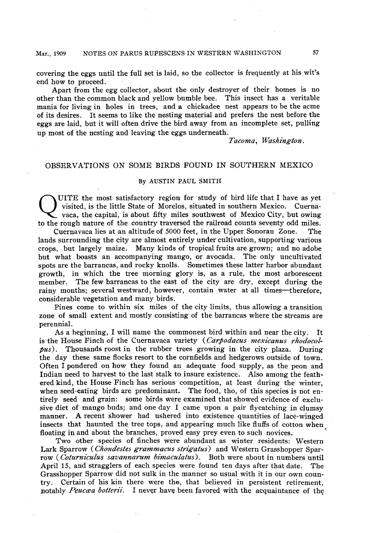## **Mar., 1909 NOTES ON PARUS RUFESCENS IN WEsTERN WASHINGTON 57**

**covering the eggs until the full set is laid, so the collector is frequently at his wits ' end how to proceed.** 

**Apart from the egg collector, about the only destroyer of their homes is no other than the common black and yellow bumble bee. This insect has a veritable mania for living in holes in trees, and a chickadee nest appears to be the acme of its desires. It seems to like the nesting material and prefers the nest before the eggs are laid, but it will often drive the bird away from an incomplete set, pulling up most of the nesting and leaving the eggs underneath.** 

Tacoma, Washington.

# **OBSERVATIONS ON SOME BIRDS FOUND IN SOUTHERN MEXICO**

## **By AUSTIN PAUL SMITH**

UITE the most satisfactory region for study of bird life that I have as yet visited, is the little State of Morelos, situated in southern Mexico. Cuerna-<br>vaca, the capital, is about fifty miles southwest of Mexico City, bu **visited, is the little State of Morelos, situated in southern Mexico. Cuernato the rough nature of the country traversed the railroad counts seventy odd miles.** 

**Cuernavaca lies at an altitude of 5000 feet, in the Upper Sonoran Zone. The lands surrounding the city are almost entirely under cultivation, supporting various crops, but largely maize. Many kinds of tropical fruits are grown; and no adobe but what boasts an accompanying mango, or avocada. The only uncultivated spots are the barrancas, and rocky knolls. Sometimes these latter harbor abundant growth, in which the tree morning glory is, as a rule, the most arborescent member. The few barrancas to the east of the city are dry, except during the rainy months; several westward, however, contain water at all times-therefore, considerable vegetation and many birds.** 

**Pines come to within six miles of the city limits, thus allowing a transition zone of small extent and mostly consisting of the barrancas where the streams are perennial.** 

**As a beginning, I will name the commonest bird within and near the city. It**  is the House Finch of the Cuernavaca variety (Carpodacus mexicanus rhodocol**pus). Thousands roost in the rubber trees growing in the city plaza. During the day these same flocks resort to the cornfields and hedgerows outside of town. Often I pondered on how they found an adequate food supply, as the peon and Indian need to harvest to the last stalk to insure existence. Also among the feathered kind, the House Finch has serious competition, at least during the winter, when seed-eating birds are predominant. The food, tho, of this species is not entirely seed and grain: some birds were examined that showed evidence of exclusive diet of mango buds; and one day I came upon a pair flycatching in clumsy manner. A recent shower had ushered into existence quantities of lace-winged**  insects that haunted the tree tops, and appearing much like fluffs of cotton when **floating in and about the branches, proved easy prey even to such novices.** 

**Two other species of finches were abundant as winter residents: Western I,ark Sparrow (Chondestes grammacus strigatus) and Western Grasshopper Sparrow ( Coturniculus savannarum bimacudatus) . Both were about in numbers until April 15, and stragglers of each species were found ten days after that date. The Grasshopper Sparrow did not sulk in the manner so usual with it in our own country. Certain of his kin there were tho, that believed in persistent retirement, notably Peuccea botterii.** I never have been favored with the acquaintance of the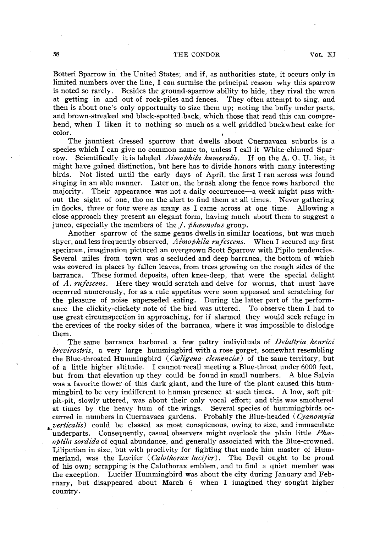## **58 THE CONDOR VOL. XI**

**Botteri Sparrow in' the United States; and if, as authorities state, it occurs only in limited numbers over the line, I can surmise the principal reason why this sparrow is noted so rarely. Besides the ground-sparrow ability to hide, they rival the wren at getting in and out of rock-piles and fences. They often attempt to sing, and then is about ones ' only opportunity to size them up; noting the buffy under parts, and brown-streaked and black-spotted back, which those that read this can comprehend, when I liken it to nothing so much as a well griddled buckwheat cake for color.**  $\qquad \qquad$   $\qquad \qquad$   $\qquad \qquad$   $\qquad \qquad$   $\qquad \qquad$   $\qquad \qquad$   $\qquad \qquad$   $\qquad \qquad$   $\qquad \qquad$   $\qquad \qquad$   $\qquad \qquad$   $\qquad \qquad$   $\qquad$   $\qquad \qquad$   $\qquad$   $\qquad$   $\qquad$   $\qquad$   $\qquad$   $\qquad$   $\qquad$   $\qquad$   $\qquad$   $\qquad$   $\qquad$   $\qquad$   $\qquad$   $\qquad$   $\qquad$ 

**The jauntiest dressed sparrow that dwells about Cuernavaca suburbs is a species which I can give no common name to, unless I call it White-chinned Sparrow. Scientifically it is labeled Aimophila humeralis. If on the A. 0. U. list, it might have gained distinction, but here has to divide honors with many interesting birds. Not listed until the early days of April, the first I ran across was found singing in an able manner. Later on, the brush along the fence rows harbored the**  majority. Their appearance was not a daily occurrence—a week might pass with**out the sight of one, tho on the alert to find them at all times. Never gathering in flocks, three or four were as many as I came across at one time. Allowing a close approach they present an elegant form, having much about them to suggest a**  junco, especially the members of the *J. phaonotus* group.

**Another sparrow of the same genus dwells in similar locations, but was much shyer, and less frequently observed, Aimophila rufescens. When I secured my first specimen, imagination pictured an overgrown Scott Sparrow with Pipilo tendencies. Several miles from town was a secluded and deep barranca, the bottom of which was covered in places by fallen leaves, from trees growing on the rough sides of the barranca. These formed deposits, often knee-deep, that were the special delight of A. rufescens. Here they would scratch and delve for worms, that must have occurred numerously, for as a rule appetites were soon appeased and scratching for the pleasure of noise superseded eating. During the latter part of the performance the clickity-clickety note of the bird was uttered. To observe them I had to use great circumspection in approaching, for if alarmed they would seek refuge in the crevices of the rocky sides of the barranca, where it was impossible to dislodge them.** 

The same barranca harbored a few paltry individuals of *Delattria henrici* **brevirostris, a very large hummingbird with a rose gorget, somewhat resembling**  the Blue-throated Hummingbird (*Caligena-clemencia*) of the same territory, but **of a little higher altitude. I cannot recall meeting a Blue-throat under 6000 feet, but from that elevation up they could be found in small numbers. A blue Salvia**  was a favorite flower of this dark giant, and the lure of the plant caused this hummingbird to be very indifferent to human presence at such times. A low, soft pit**pit-pit, slowly uttered, was about their only vocal effort; and this was smothered at times by the heavy hum of the wings. Several species of. hummingbirds occurred in numbers in Cuernavaca gardens. Probably the Blue-headed ( Cyanomyia**  *verticalis* could be classed as most conspicuous, owing to size, and immaculate underparts. Consequently, casual observers might overlook the plain little *Pha*optila sordida of equal abundance, and generally associated with the Blue-crowned. **I.,iliputian in size, but with proclivity for fighting that made him master of Hum**merland, was the Lucifer (Calothorax lucifer). The Devil ought to be proud **of his own; scrapping is the Calothorax emblem, and to find a quiet member was the exception. Lucifer Hummingbird was about the city during January and February, but disappeared about March 6. when I imagined they sought higher country.** 

**.**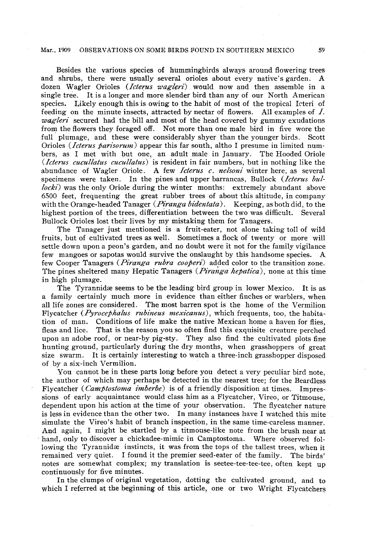#### **Mar., 1909 OBSERVATIONS ON SOME BIRDS POUND IN SOUTHERN MEXICO 59**

**Besides the various species of hummingbirds always around flowering trees**  and shrubs, there were usually several orioles about every native's garden. dozen Wagler Orioles (*Icterus wagleri*) would now and then assemble in a **single tree. It is a longer and more slender bird than any of our North American species. Likely enough this is owing to the habit of most of the tropical Icteri of feeding on the minute insects, attracted by nectar of flowers. All examples of 1. wagleri secured had the bill and most of the head covered by gummy exudations from the flowers they foraged off. Not more than one male bird in five wore the full plumage, and these were considerably shyer than the younger birds. Scott Orioles (Icterus parisorum) appear this far south, altho I presume in limited numbers, as I met with but one, an adult male in January. The Hooded Oriole**  (*Icterus cucullatus cucullatus*) is resident in fair numbers, but in nothing like the **abundance of Wagler Oriole. A few Icterus c. nelsoni winter here, as several**  specimens were taken. In the pines and upper barrancas, Bullock (*Icterus bullocki*) was the only Oriole during the winter months: extremely abundant above **6500 feet, frequenting the great rubber trees of about this altitude, in company with the Orange-headed Tanager (Piranga bidentata). Keeping, as both did, to the highest portion of the trees, differentiation between the two was difficult. Several Bullock Orioles lost their lives by my mistaking them for Tanagers.** 

**The Tanager just mentioned is a fruit-eater, not alone taking toll of wild fruits, but of cultivated trees as well. Sometimes a flock of twenty or more will**  settle down upon a peon's garden, and no doubt were it not for the family vigilance **few mangoes or sapotas would survive the onslaught by this handsome species. A**  few Cooper Tanagers (*Piranga rubra cooperi*) added color to the transition zone. **The pines sheltered many Hepatic Tanagers (Piranga hepatica), none at this time in high plumage.** 

The Tyrannidæ seems to be the leading bird group in lower Mexico. It is as **a family certainly much more in evidence than either finches or warblers, when all life zones are considered. The most barren spot is the home of the Vermilion**  Flycatcher (*Pyrocephalus rubineus mexicanus*), which frequents, too, the habita**tion of man. Conditions of life make the native Mexican home a haven for flies, fleas and lice. That is the reason you so often find this exquisite creature perched upon an adobe roof, or near-by pig-sty. They also find the cultivated plots fine hunting ground, particularly during the dry months, when grasshoppers of great size swarm. It is certainly interesting to watch a three-inch grasshopper disposed of by a six-inch Vermilion.** 

**You cannot be in these parts long before you detect a very peculiar bird note, the author of which may perhaps be detected in the nearest tree; for the Beardless**  Flycatcher (*Camptostoma imberbe*) is of a friendly disposition at times. Impres**sions of early acquaintance would class him as a Flycatcher, Vireo, or Titmouse, dependent upon his action at the time of your observation. The flycatcher nature is less in evidence than the other two. In many instances have I watched this mite**  simulate the Vireo's habit of branch inspection, in the same time-careless manner. **And again, I might be startled by a titmouse-like note from the brush near at hand, only to discover a chickadee-mimic in Camptostoma. Where observed fol**lowing the Tyrannidæ instincts, it was from the tops of the tallest trees, when it **remained very quiet. I found it the premier seed-eater of the family. The birds' notes are somewhat complex; my translation is seetee-tee-tee-tee, often kept up continuously for five minutes.** 

**In the clumps of original vegetation, dotting the cultivated ground, and to which I referred at the beginning of this article, one or two Wright Flycatchers**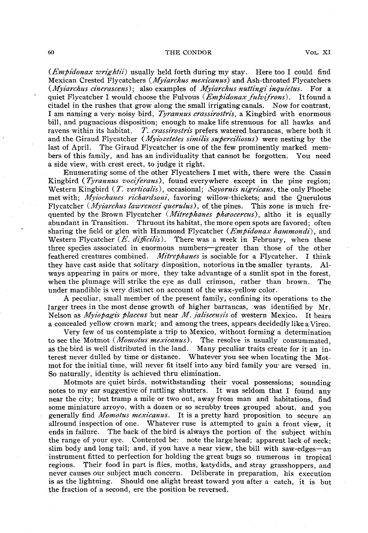#### **60 THE CONDOR VOL. XI**

**(Empidonax wrightii) usually held forth during my stay. Here too I could find Mexican Crested Flycatchers (Myiarchs mexicanus) and Ash-throated Flycatchers . (Myiarchus cinerascens) ; also examples of Myiarchs nuttingi inquietus. For a quiet Flycatcher I would choose the Fulvous** (*Empidonax fulvifrons*). It found a **citadel in the rushes that grow along the small irrigating canals. Now for contrast, I am naming a very noisy bird, Tyrannus crassirostris, a Kingbird with enormous bill, and pugnacious disposition; enough to make life strenuous for all hawks and ravens within its habitat. T. crassirostris prefers watered barrancas, where both it and the Giraud Flycatcher** (*Myiozetetes similis superciliosus*) were nesting by the **last of April. The Giraud Flycatcher is one of the few prominently marked members of this family, and has an individuality that cannot be forgotten. You need a side view, with crest erect, to judge it right.** 

**Enumerating some of the other Flycatchers I met with, there were the Cassin**  Kingbird (*Tyrannus vociferans*), found everywhere except in the pine region; **Western Kingbird ( T. verticalis), occasional; Sayornis nigyicans, the only Phoebe**  met with; *Myiochanes richardsoni*, favoring willow-thickets; and the Querulous Flycatcher (*Myiarchus lawrencei querulus*), of the pines. This zone is much frequented by the Brown Flycatcher *(Mitrephanes phæocercus)*, altho it is equally **abundant in Transition, Thruout its habitat, the more open spots are favored; often sharing the field or glen with Hammond Flycatcher (***Empidonax hammondi***), and** Western Flycatcher (*E. difficilis*). There was a week in February, when these three species associated in enormous numbers—greater than those of the other **feathered creatures combined. Mityephanes is sociable for a Flycatcher. I think they have cast aside that solitary disposition, notorious in the smaller tyrants. Always appearing in pairs or more, they take advantage of a sunlit spot in the forest, when the plumage will strike the eye as dull crimson, rather than brown. The under mandible is very distinct on account of the wax-yellow color.** 

**A peculiar, small member of the present family, confining its operations to the larger trees in the most dense growth of higher barrancas, was identified by Mr. Nelson as Myiopagis platens but near M. .ialiscenszs ' of western Mexico. It bears a concealed yellow crown mark; and among the trees, appears decidedly like a Vireo.** 

**Very few of us contemplate a trip to Mexico, without forming a determination to see the Motmot (Momotus mexicanus). The resolve is usually consummated, as the bird is well distributed in the land. Many peculiar traits create for it an interest never dulled by time or distance. Whatever you see when locating the Mot**mot for the initial time, will never fit itself into any bird family you are versed in. **So naturally, identity is achieved thru elimination.** 

**Motmots are quiet birds, notwithstanding their vocal possessions; sounding notes to my ear suggestive of rattling shutters. It was seldom that I found any near the city; but tramp a mile or two out, away from man and habitations, find some miniature arroyo, with a dozen or so scrubby trees grouped about, and you**  generally find *Momotus mexicanus*. It is a pretty hard proposition to secure an **allround inspection of one. Whatever ruse is attempted to gain a front view, it ends in failure. The back of the bird is always the portion of the subject within the range of your eye. Contented be: note the large head; apparent lack of neck; slim body and long tail; and, if you have a near view, the bill with saw-edges-an instrument fitted to perfection for holding the great bugs so numerous in tropical regions. Their food in part is flies, moths, katydids, and stray grasshoppers, and**  never causes our subject much concern. Deliberate in preparation, his execution **is as the lightning. Should one alight breast toward you after a catch, it is but the fraction of a second, ere the position be reversed,**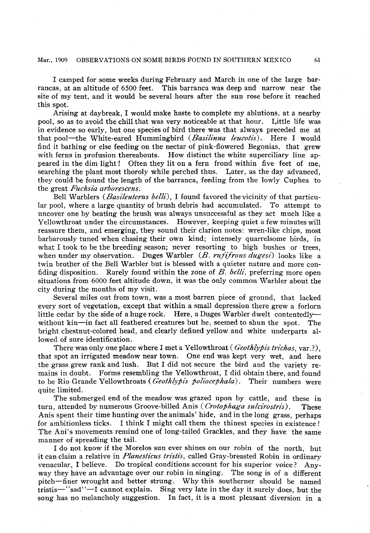## **Mar., 1909 OBSERVATIONS ON SOME BIRDS FOUND IN SOUTHERN MEXICO** 61

**I camped for some weeks during February and March in one of the large barrancas, at an altitude of 6500 feet. This barranca was deep and narrow near the site of my tent, and it would be several hours after the sun rose before it reached this spot.** 

**Arising at daybreak, I would make haste to complete my ablutions, at a nearby pool, so as to avoid the chill that was very noticeable at that hour. Little life was in evidence so early, but one species of bird there was that always preceded me at that pool-the White-eared Hummingbird (Basilinna leucotis). Here I would find it bathing or else feeding on the nectar of pink-flowered Begonias, that grew with ferns in profusion thereabouts. How distinct the white superciliary line appeared in the dim light ! Often they lit on a fern frond within five feet of me, searching the plant most thoroly while perched thus. Later, as the day advanced, they could be found the length of the barranca, feeding from the lowly Cuphea to the great Fuchia arborescens.** 

**Bell Warblers (Basileuterus belli), I found favored thevicinity of that particular pool, where a large quantity of brush debris had accumulated. To attempt to uncover one by beating the brush was always unsuccessful as they act much like a Yellowthroat under the circumstances. However, keeping quiet a few minutes will reassure them, and emerging, they sound their clarion notes: wren-like chips, most barbarously tuned when chasing their own kind; intensely quarrelsome birds, in what I took to be the breeding season; never resorting to high bushes or trees, when under my observation. Duges Warbler (B. rufifrons dugesi) looks like a twin brother of the Bell Warbler but is blessed with a quieter nature and more con**fiding disposition. Rarely found within the zone of  $B$ , belli, preferring more open **situations from 6000 feet altitude down, it was the only common Warbler about the city during the months of my visit.** 

**Several miles out from town, was a most barren piece of ground, that lacked every sort of vegetation, except that within a small depression there grew a forlorn little cedar by the side of a huge rock. Here, a Duges Warbler dwelt contentedly**without kin-in fact all feathered creatures but he, seemed to shun the spot. The **bright chestnut-colored head, and clearly defined yellow and white underparts allowed of sure identification.** 

There was only one place where I met a Yellowthroat ( $Geothlypis$   $trichas$ ,  $var$ ?), **that spot an irrigated meadow near town. One end was kept very wet, and here the grass grew rank and lush. But I did not secure the bird and the variety remains in doubt. Forms resembling the Yellowthroat, I did obtain there, and found**  to be Rio Grande Yellowthroats (*Geothlypis poliocephala*). Their numbers were **quite limited.** 

**The submerged end of the meadow was grazed upon by cattle, and these in**  turn, attended by numerous Groove-billed Anis (*Crotophaga sulcirostris*). These **Anis spent their time hunting over the animals' hide, and in the long grass, perhaps for ambitionless ticks. I think I might call them the thinest species in existence ! The Anis ' movements remind one of long-tailed Grackles, and they have the same manner of spreading the tail.** 

**I do not know if the Morelos sun ever shines on our robin of the north, but**  it can claim a relative in *Planesticus tristis*, called Gray-breasted Robin in ordinary **venacular, I believe. Do tropical conditions account for his superior voice ? Anyway they have an advantage over our robin in singing. The song is of a different pitch-finer wrought and better strung. Why this southerner should be named tristis-' sad"-1 ' cannot explain. Sing very late in the day it surely does, but the song has no melancholy suggestion. In fact, it is a most pleasant diversion in a**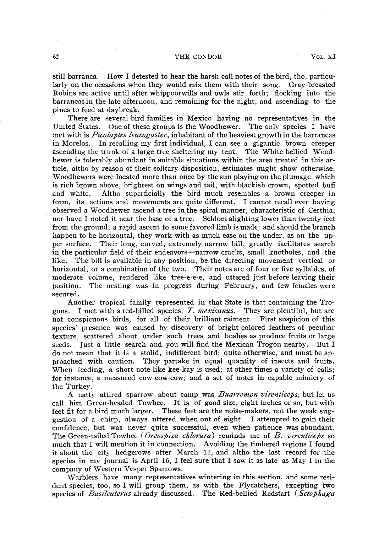### **62** THE CONDOR VOL. XI

**still barranca. How I detested to hear the harsh call notes of the bird, tho, particularly on the occasions when they would mix them with their song. Gray-breasted Robins are active until after whippoorwills and owls stir forth; flocking into the barrancasin the late afternoon, and remaining for the night, and ascending to the pines to feed at daybreak.** 

**There are several bird families in Mexico having no representatives in the United States. One of these groups is the Woodhewer. The only species I have**  met with is *Picolaptes leucogaster*, inhabitant of the heaviest growth in the barrancas **in Morelos. In recalling my first individual, I can see a gigantic brown creeper ascending the trunk of a large tree sheltering my tent. The White-bellied Woodhewer is tolerably abundant in suitable situations within the area treated in this article, altho by reason of their solitary disposition, estimates might show otherwise. Woodhewers were located more than once by the sun playing on the plumage, which is rich brown above, brightest on wings and tail, with blackish crown, spotted buff and white. Altho superficially the bird much resembles a brown creeper in form, its actions and movements are quite different. I cannot recall ever having observed a Woodhewer ascend a tree in the spiral manner, characteristic of Certhia; nor have I noted it near the base of a tree. Seldom alighting lower than twenty feet from the ground, a rapid ascent to some favored limb is made; and should the branch**  happen to be horizontal, they work with as much ease on the under, as on the up**per surface. Their long, curved, extremely narrow bill, greatly facilitates search**  in the particular field of their endeavors—narrow cracks, small knotholes, and the **like. The bill is available in any position, be the directing movement vertical or horizontal, or a combination of the two. Their notes are of four or five syllables, of moderate volume, rendered like tree-e-e-e, and uttered just before leaving their position. The nesting was in progress during February, and few females were secured.** 

**Another tropical family represented in that State is that containing the Trogons. I met with a red-billed species, 3". mexicanus. They are plentiful, but are not conspicuous birds, for all of their brilliant raiment. First suspicion of this species' presence was caused by discovery of bright-colored feathers of peculiar texture, scattered about under such trees and bushes as produce fruits or large seeds. Just a little search and you will find the Mexican Trogon nearby. But I do not mean that it is a stolid, indifferent bird; quite otherwise, and must be approached with caution. They partake in equal quantity of insects and fruits. When feeding, a short note like kee-kay is used; at other times a variety of calls; for instance, a measured cow-cow-cow; and a set of notes in capable mimicry of the Turkey.** 

A natty attired sparrow about camp was *Buarremon virenticeps*; but let us **call him Green-headed Towhee. It is of good size, eight inches or so, but with feet fit for a bird much larger. These feet are the noise-makers, not the weak suggestion of a chirp, always uttered when out of sight. I attempted to gain their confidence, but was never quite successful, even when patience was abundant. The Green-tailed Towhee (Oreospiza chlorura) reminds me of B. virenticeps so much that I will mention it in connection. Avoiding the timbered regions I found it about the city hedgerows after March 12, and altho the last record for the species in my journal is April 16, I feel sure that I saw it as late as May 1 in the company of Western Vesper Sparrows.** 

**Warblers have many representatives wintering in this section, and some resident species, too, so I will group them, as with the Flycatchers, excepting two**  species of *Basileuterus* already discussed. The Red-bellied Redstart (Setophaga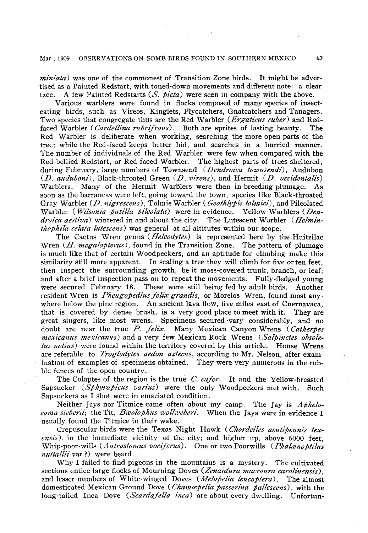## Mar., 1909 OBSERVATIONS ON SOME BIRDS FOUND IN SOUTHERN MEXICO 63

**miniata) was one of the commonest of Transition Zone birds. It might be advertised as a Painted Redstart, with toned-down movements and different note: a clear tzee. A few Painted Redstarts (S. picta) were seen in company with the above.** 

**Various warblers were found in flocks composed of many species of insecteating birds, such as Vireos, Kinglets, Flycatchers, Gnatcatchers and Tanagers. Two species that congregate thus are the Red Warbler (Ergaticus ruber) and Red**faced Warbler (*Cardellina rubrifrons*). Both are sprites of lasting beauty. The **Red Warbler is deliberate when working, searching the more open parts of the tree; while the Red-faced keeps better hid, and searches in a hurried manner. The number of individuals of the Red Warbler were few when compared with the Red-bellied Redstart, or Red-faced Warbler. The highest parts of trees sheltered, during February, large numbers of Townsend (Dendroica townsendi), Audubon**  (*D. auduboni*), Black-throated Green (*D. virens*), and Hermit (*D. occidentalis*) **Warblers. Many of the Hermit Warblers were then in breeding plumage. As soon as the barrancas were left, going toward the town, species like Black-throated Gray Warbler (D. nigrescens), Tolmie Warbler ( Geothbpis tolnziei) , and Pileolated**  Warbler (*Wilsonia pusilla pileolata*) were in evidence. Yellow Warblers (*Dendroica aestiva*) wintered in and about the city. The Lutescent Warbler (*Helminthophila celata lutescens*) was general at all altitutes within our scope.

**The Cactus Wren genus (Neleodytes) is represented here by the Huitzilac**  Wren (*H. megalopterus*), found in the Transition Zone. The pattern of plumage **is much like that of certain Woodpeckers, and an aptitude for climbing make this similarity still more apparent. In scaling a tree they will climb for five or ten feet, then inspect the surrounding growth, be it moss-covered trunk, branch, or leaf; and after a brief inspection pass on to repeat the movements. Fully-fledged young were secured February 18. These were still being fed by adult birds. Another resident Wren is Pheugopedius felix grandis, or Morelos Wren, found most anywhere below the pine region. An ancient lava flow, five miles east of Cuernavaca, that is covered by dense brush, is a very good place to meet with it. They are great singers, like most wrens. Specimens secured vary considerably, and no**  doubt are near the true P. felix. Many Mexican Canyon Wrens (Catherpes **mexicamls mexicanus) and a very few Mexican Rock Wrens (Salpinctes obsoletus notius**) were found within the territory covered by this article. House Wrens **are referable to Troglodytes aedon aztecus, according to Mr. Nelson, after examination of examples of specimens obtained. They were very numerous in the rubble fences of the open country.** 

**The Colaptes of the region is the true C. cafer. It and the Yellow-breasted Sapsucker (Sphyrapicus varius) were the only Woodpeckers met with. Such Sapsuckers as I shot were in emaciated condition.** 

Neither Jays nor Titmice came often about my camp. The Jay is *Aphelo*coma sieberii; the Tit, Baolophus wollweberi. When the Jays were in evidence I **usually found the Titmice in their wake.** 

**Crepuscular birds were the Texas Night Hawk ( Chordeides acutipennis texensis), in the immediate vicinity of the city; and higher up, above 6000 feet, Whip-poor-wills** (Antrostomus vociferus). One or two Poorwills (Phalaenoptilus *nuttallii* var?) were heard.

**Why I failed to find pigeons in the mountains is a mystery. The cultivated sections entice large flocks of Mourning Doves (Zenaidura macroura carolinensis),**  and lesser numbers of White-winged Doves (*Melopelia leucoptera*). The almost **domesticated Mexican Ground Dove** (*Chamapelia passerina pallescens*), with the **long-tailed** Inca Dove (*Scardafella inca*) are about every dwelling. Unfortun-